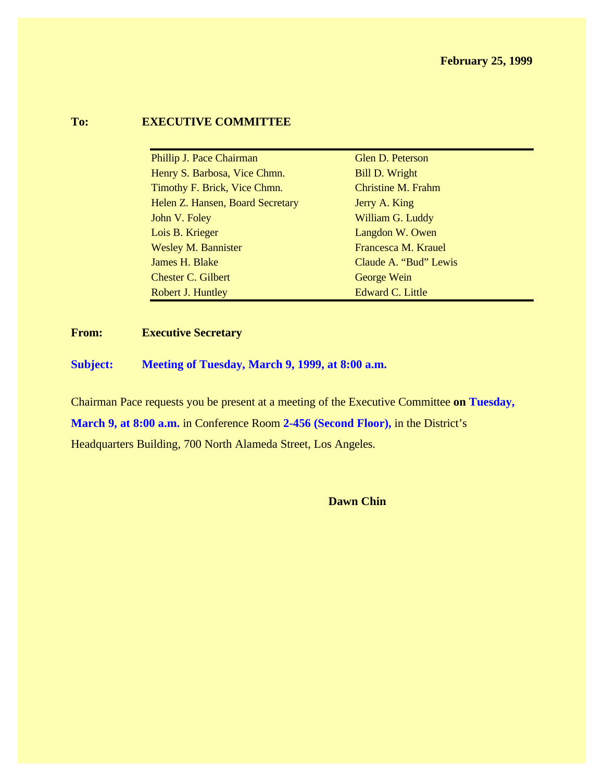#### **To: EXECUTIVE COMMITTEE**

| Phillip J. Pace Chairman         | Glen D. Peterson          |
|----------------------------------|---------------------------|
| Henry S. Barbosa, Vice Chmn.     | Bill D. Wright            |
| Timothy F. Brick, Vice Chmn.     | <b>Christine M. Frahm</b> |
| Helen Z. Hansen, Board Secretary | Jerry A. King             |
| John V. Foley                    | William G. Luddy          |
| Lois B. Krieger                  | Langdon W. Owen           |
| <b>Wesley M. Bannister</b>       | Francesca M. Krauel       |
| James H. Blake                   | Claude A. "Bud" Lewis     |
| Chester C. Gilbert               | George Wein               |
| Robert J. Huntley                | <b>Edward C. Little</b>   |

#### **From: Executive Secretary**

**Subject: Meeting of Tuesday, March 9, 1999, at 8:00 a.m.**

Chairman Pace requests you be present at a meeting of the Executive Committee **on Tuesday,**

**March 9, at 8:00 a.m.** in Conference Room **2-456 (Second Floor),** in the District's

Headquarters Building, 700 North Alameda Street, Los Angeles.

**Dawn Chin**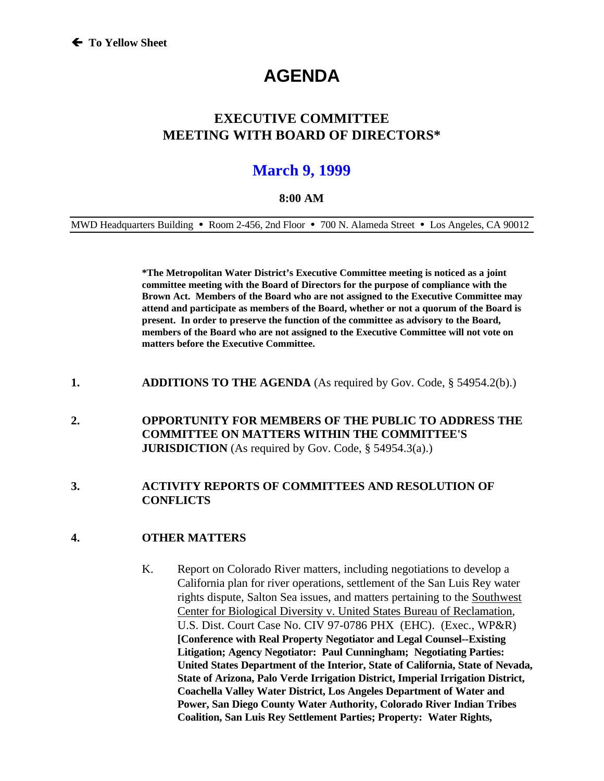# **AGENDA**

### **EXECUTIVE COMMITTEE MEETING WITH BOARD OF DIRECTORS\***

## **March 9, 1999**

#### **8:00 AM**

MWD Headquarters Building • Room 2-456, 2nd Floor • 700 N. Alameda Street • Los Angeles, CA 90012

**\*The Metropolitan Water District's Executive Committee meeting is noticed as a joint committee meeting with the Board of Directors for the purpose of compliance with the Brown Act. Members of the Board who are not assigned to the Executive Committee may attend and participate as members of the Board, whether or not a quorum of the Board is present. In order to preserve the function of the committee as advisory to the Board, members of the Board who are not assigned to the Executive Committee will not vote on matters before the Executive Committee.**

- **1. ADDITIONS TO THE AGENDA** (As required by Gov. Code, § 54954.2(b).)
- **2. OPPORTUNITY FOR MEMBERS OF THE PUBLIC TO ADDRESS THE COMMITTEE ON MATTERS WITHIN THE COMMITTEE'S JURISDICTION** (As required by Gov. Code, § 54954.3(a).)

#### **3. ACTIVITY REPORTS OF COMMITTEES AND RESOLUTION OF CONFLICTS**

#### **4. OTHER MATTERS**

K. Report on Colorado River matters, including negotiations to develop a California plan for river operations, settlement of the San Luis Rey water rights dispute, Salton Sea issues, and matters pertaining to the Southwest Center for Biological Diversity v. United States Bureau of Reclamation, U.S. Dist. Court Case No. CIV 97-0786 PHX (EHC). (Exec., WP&R) **[Conference with Real Property Negotiator and Legal Counsel--Existing Litigation; Agency Negotiator: Paul Cunningham; Negotiating Parties: United States Department of the Interior, State of California, State of Nevada, State of Arizona, Palo Verde Irrigation District, Imperial Irrigation District, Coachella Valley Water District, Los Angeles Department of Water and Power, San Diego County Water Authority, Colorado River Indian Tribes Coalition, San Luis Rey Settlement Parties; Property: Water Rights,**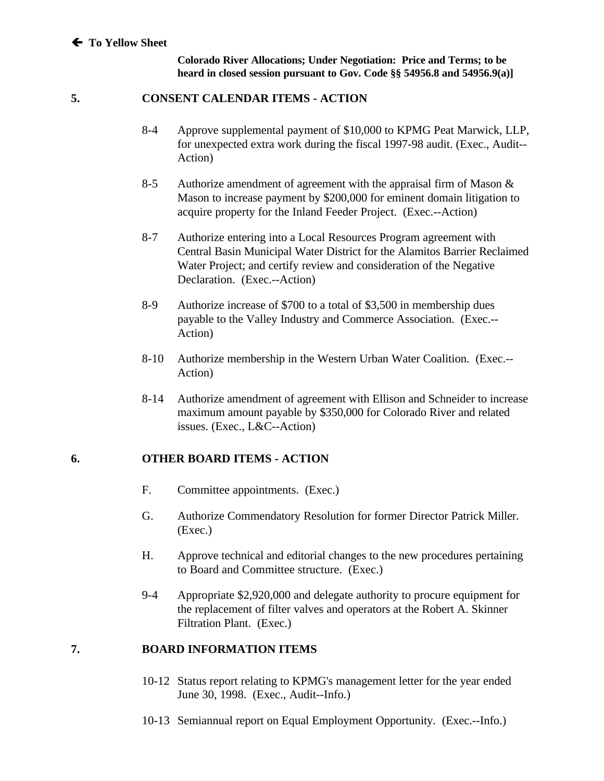#### Á **To Yellow Sheet**

**Colorado River Allocations; Under Negotiation: Price and Terms; to be heard in closed session pursuant to Gov. Code §§ 54956.8 and 54956.9(a)]**

#### **5. CONSENT CALENDAR ITEMS - ACTION**

- 8-4 Approve supplemental payment of \$10,000 to KPMG Peat Marwick, LLP, for unexpected extra work during the fiscal 1997-98 audit. (Exec., Audit-- Action)
- 8-5 Authorize amendment of agreement with the appraisal firm of Mason  $\&$ Mason to increase payment by \$200,000 for eminent domain litigation to acquire property for the Inland Feeder Project. (Exec.--Action)
- 8-7 Authorize entering into a Local Resources Program agreement with Central Basin Municipal Water District for the Alamitos Barrier Reclaimed Water Project; and certify review and consideration of the Negative Declaration. (Exec.--Action)
- 8-9 Authorize increase of \$700 to a total of \$3,500 in membership dues payable to the Valley Industry and Commerce Association. (Exec.-- Action)
- 8-10 Authorize membership in the Western Urban Water Coalition. (Exec.-- Action)
- 8-14 Authorize amendment of agreement with Ellison and Schneider to increase maximum amount payable by \$350,000 for Colorado River and related issues. (Exec., L&C--Action)

#### **6. OTHER BOARD ITEMS - ACTION**

- F. Committee appointments. (Exec.)
- G. Authorize Commendatory Resolution for former Director Patrick Miller. (Exec.)
- H. Approve technical and editorial changes to the new procedures pertaining to Board and Committee structure. (Exec.)
- 9-4 Appropriate \$2,920,000 and delegate authority to procure equipment for the replacement of filter valves and operators at the Robert A. Skinner Filtration Plant. (Exec.)

#### **7. BOARD INFORMATION ITEMS**

- 10-12 Status report relating to KPMG's management letter for the year ended June 30, 1998. (Exec., Audit--Info.)
- 10-13 Semiannual report on Equal Employment Opportunity. (Exec.--Info.)